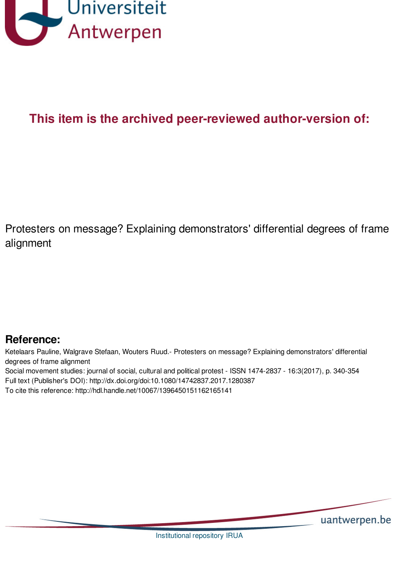

# **This item is the archived peer-reviewed author-version of:**

Protesters on message? Explaining demonstrators' differential degrees of frame alignment

# **Reference:**

Ketelaars Pauline, Walgrave Stefaan, Wouters Ruud.- Protesters on message? Explaining demonstrators' differential degrees of frame alignment

Social movement studies: journal of social, cultural and political protest - ISSN 1474-2837 - 16:3(2017), p. 340-354 Full text (Publisher's DOI): http://dx.doi.org/doi:10.1080/14742837.2017.1280387

To cite this reference: http://hdl.handle.net/10067/1396450151162165141

uantwerpen.be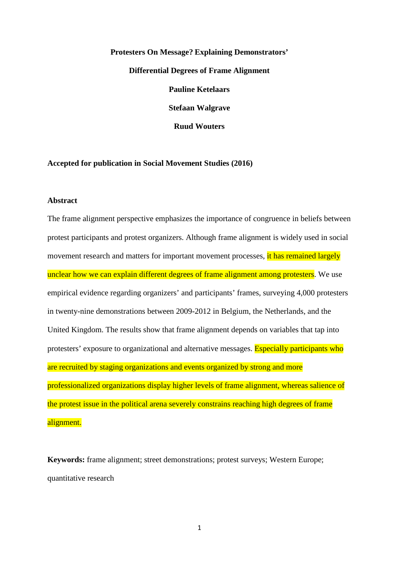# **Protesters On Message? Explaining Demonstrators' Differential Degrees of Frame Alignment Pauline Ketelaars Stefaan Walgrave Ruud Wouters**

### **Accepted for publication in Social Movement Studies (2016)**

#### **Abstract**

The frame alignment perspective emphasizes the importance of congruence in beliefs between protest participants and protest organizers. Although frame alignment is widely used in social movement research and matters for important movement processes, it has remained largely unclear how we can explain different degrees of frame alignment among protesters. We use empirical evidence regarding organizers' and participants' frames, surveying 4,000 protesters in twenty-nine demonstrations between 2009-2012 in Belgium, the Netherlands, and the United Kingdom. The results show that frame alignment depends on variables that tap into protesters' exposure to organizational and alternative messages. Especially participants who are recruited by staging organizations and events organized by strong and more professionalized organizations display higher levels of frame alignment, whereas salience of the protest issue in the political arena severely constrains reaching high degrees of frame alignment.

**Keywords:** frame alignment; street demonstrations; protest surveys; Western Europe; quantitative research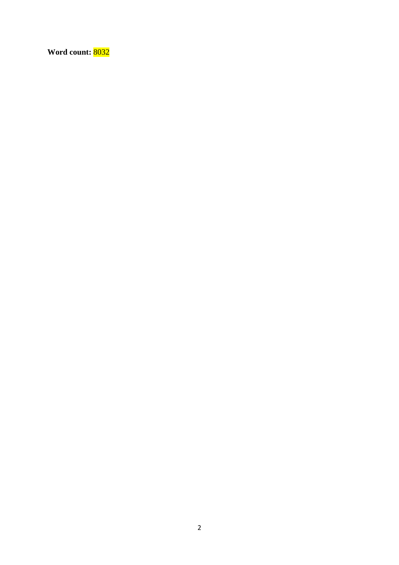**Word count:** 8032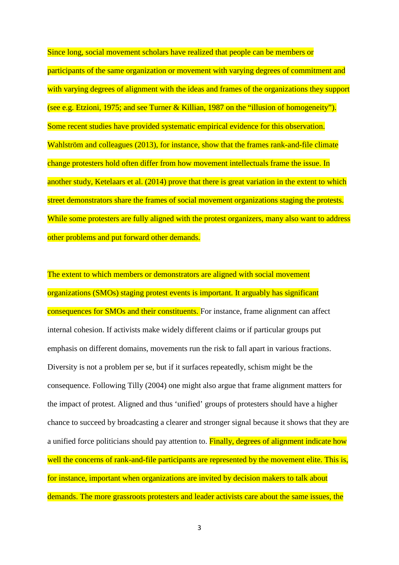Since long, social movement scholars have realized that people can be members or participants of the same organization or movement with varying degrees of commitment and with varying degrees of alignment with the ideas and frames of the organizations they support (see e.g. Etzioni, 1975; and see Turner & Killian, 1987 on the "illusion of homogeneity"). Some recent studies have provided systematic empirical evidence for this observation. Wahlström and colleagues (2013), for instance, show that the frames rank-and-file climate change protesters hold often differ from how movement intellectuals frame the issue. In another study, Ketelaars et al. (2014) prove that there is great variation in the extent to which street demonstrators share the frames of social movement organizations staging the protests. While some protesters are fully aligned with the protest organizers, many also want to address other problems and put forward other demands.

The extent to which members or demonstrators are aligned with social movement organizations (SMOs) staging protest events is important. It arguably has significant consequences for SMOs and their constituents. For instance, frame alignment can affect internal cohesion. If activists make widely different claims or if particular groups put emphasis on different domains, movements run the risk to fall apart in various fractions. Diversity is not a problem per se, but if it surfaces repeatedly, schism might be the consequence. Following Tilly (2004) one might also argue that frame alignment matters for the impact of protest. Aligned and thus 'unified' groups of protesters should have a higher chance to succeed by broadcasting a clearer and stronger signal because it shows that they are a unified force politicians should pay attention to. Finally, degrees of alignment indicate how well the concerns of rank-and-file participants are represented by the movement elite. This is, for instance, important when organizations are invited by decision makers to talk about demands. The more grassroots protesters and leader activists care about the same issues, the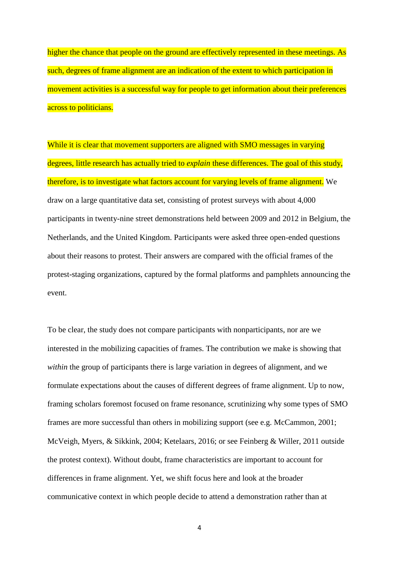higher the chance that people on the ground are effectively represented in these meetings. As such, degrees of frame alignment are an indication of the extent to which participation in movement activities is a successful way for people to get information about their preferences across to politicians.

While it is clear that movement supporters are aligned with SMO messages in varying degrees, little research has actually tried to *explain* these differences. The goal of this study, therefore, is to investigate what factors account for varying levels of frame alignment. We draw on a large quantitative data set, consisting of protest surveys with about 4,000 participants in twenty-nine street demonstrations held between 2009 and 2012 in Belgium, the Netherlands, and the United Kingdom. Participants were asked three open-ended questions about their reasons to protest. Their answers are compared with the official frames of the protest-staging organizations, captured by the formal platforms and pamphlets announcing the event.

To be clear, the study does not compare participants with nonparticipants, nor are we interested in the mobilizing capacities of frames. The contribution we make is showing that *within* the group of participants there is large variation in degrees of alignment, and we formulate expectations about the causes of different degrees of frame alignment. Up to now, framing scholars foremost focused on frame resonance, scrutinizing why some types of SMO frames are more successful than others in mobilizing support (see e.g. McCammon, 2001; McVeigh, Myers, & Sikkink, 2004; Ketelaars, 2016; or see Feinberg & Willer, 2011 outside the protest context). Without doubt, frame characteristics are important to account for differences in frame alignment. Yet, we shift focus here and look at the broader communicative context in which people decide to attend a demonstration rather than at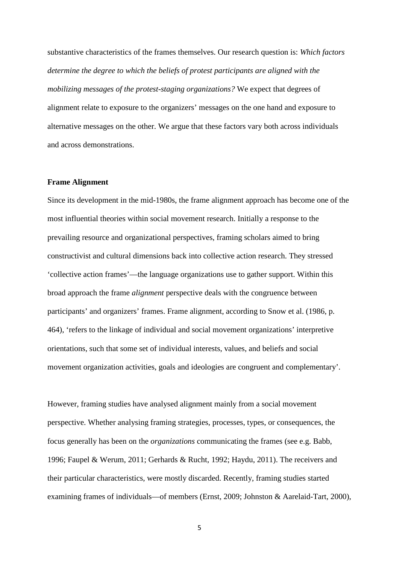substantive characteristics of the frames themselves. Our research question is: *Which factors determine the degree to which the beliefs of protest participants are aligned with the mobilizing messages of the protest-staging organizations?* We expect that degrees of alignment relate to exposure to the organizers' messages on the one hand and exposure to alternative messages on the other. We argue that these factors vary both across individuals and across demonstrations.

#### **Frame Alignment**

Since its development in the mid-1980s, the frame alignment approach has become one of the most influential theories within social movement research. Initially a response to the prevailing resource and organizational perspectives, framing scholars aimed to bring constructivist and cultural dimensions back into collective action research. They stressed 'collective action frames'—the language organizations use to gather support. Within this broad approach the frame *alignment* perspective deals with the congruence between participants' and organizers' frames. Frame alignment, according to Snow et al. (1986, p. 464), 'refers to the linkage of individual and social movement organizations' interpretive orientations, such that some set of individual interests, values, and beliefs and social movement organization activities, goals and ideologies are congruent and complementary'.

However, framing studies have analysed alignment mainly from a social movement perspective. Whether analysing framing strategies, processes, types, or consequences, the focus generally has been on the *organizations* communicating the frames (see e.g. Babb, 1996; Faupel & Werum, 2011; Gerhards & Rucht, 1992; Haydu, 2011). The receivers and their particular characteristics, were mostly discarded. Recently, framing studies started examining frames of individuals—of members (Ernst, 2009; Johnston & Aarelaid-Tart, 2000),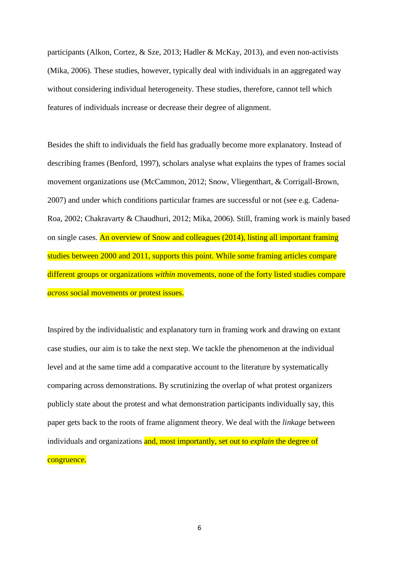participants (Alkon, Cortez, & Sze, 2013; Hadler & McKay, 2013), and even non-activists (Mika, 2006). These studies, however, typically deal with individuals in an aggregated way without considering individual heterogeneity. These studies, therefore, cannot tell which features of individuals increase or decrease their degree of alignment.

Besides the shift to individuals the field has gradually become more explanatory. Instead of describing frames (Benford, 1997), scholars analyse what explains the types of frames social movement organizations use (McCammon, 2012; Snow, Vliegenthart, & Corrigall-Brown, 2007) and under which conditions particular frames are successful or not (see e.g. Cadena-Roa, 2002; Chakravarty & Chaudhuri, 2012; Mika, 2006). Still, framing work is mainly based on single cases. An overview of Snow and colleagues (2014), listing all important framing studies between 2000 and 2011, supports this point. While some framing articles compare different groups or organizations *within* movements, none of the forty listed studies compare *across* social movements or protest issues.

Inspired by the individualistic and explanatory turn in framing work and drawing on extant case studies, our aim is to take the next step. We tackle the phenomenon at the individual level and at the same time add a comparative account to the literature by systematically comparing across demonstrations. By scrutinizing the overlap of what protest organizers publicly state about the protest and what demonstration participants individually say, this paper gets back to the roots of frame alignment theory. We deal with the *linkage* between individuals and organizations and, most importantly, set out to *explain* the degree of congruence.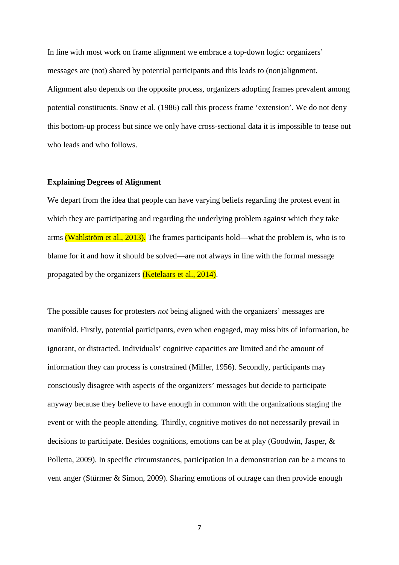In line with most work on frame alignment we embrace a top-down logic: organizers' messages are (not) shared by potential participants and this leads to (non)alignment. Alignment also depends on the opposite process, organizers adopting frames prevalent among potential constituents. Snow et al. (1986) call this process frame 'extension'. We do not deny this bottom-up process but since we only have cross-sectional data it is impossible to tease out who leads and who follows.

# **Explaining Degrees of Alignment**

We depart from the idea that people can have varying beliefs regarding the protest event in which they are participating and regarding the underlying problem against which they take arms (Wahlström et al., 2013). The frames participants hold—what the problem is, who is to blame for it and how it should be solved—are not always in line with the formal message propagated by the organizers (Ketelaars et al., 2014).

The possible causes for protesters *not* being aligned with the organizers' messages are manifold. Firstly, potential participants, even when engaged, may miss bits of information, be ignorant, or distracted. Individuals' cognitive capacities are limited and the amount of information they can process is constrained (Miller, 1956). Secondly, participants may consciously disagree with aspects of the organizers' messages but decide to participate anyway because they believe to have enough in common with the organizations staging the event or with the people attending. Thirdly, cognitive motives do not necessarily prevail in decisions to participate. Besides cognitions, emotions can be at play (Goodwin, Jasper, & Polletta, 2009). In specific circumstances, participation in a demonstration can be a means to vent anger (Stürmer & Simon, 2009). Sharing emotions of outrage can then provide enough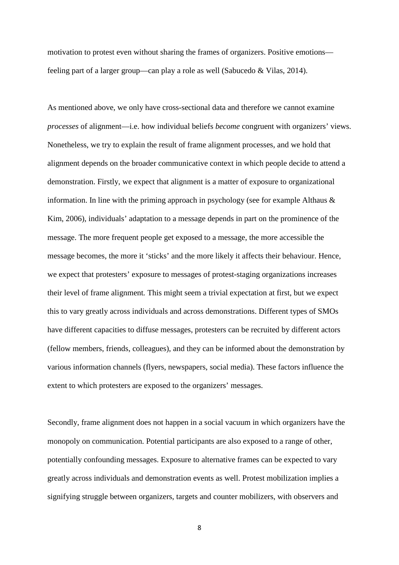motivation to protest even without sharing the frames of organizers. Positive emotions feeling part of a larger group—can play a role as well (Sabucedo & Vilas, 2014).

As mentioned above, we only have cross-sectional data and therefore we cannot examine *processes* of alignment—i.e. how individual beliefs *become* congruent with organizers' views. Nonetheless, we try to explain the result of frame alignment processes, and we hold that alignment depends on the broader communicative context in which people decide to attend a demonstration. Firstly, we expect that alignment is a matter of exposure to organizational information. In line with the priming approach in psychology (see for example Althaus  $\&$ Kim, 2006), individuals' adaptation to a message depends in part on the prominence of the message. The more frequent people get exposed to a message, the more accessible the message becomes, the more it 'sticks' and the more likely it affects their behaviour. Hence, we expect that protesters' exposure to messages of protest-staging organizations increases their level of frame alignment*.* This might seem a trivial expectation at first, but we expect this to vary greatly across individuals and across demonstrations. Different types of SMOs have different capacities to diffuse messages, protesters can be recruited by different actors (fellow members, friends, colleagues), and they can be informed about the demonstration by various information channels (flyers, newspapers, social media). These factors influence the extent to which protesters are exposed to the organizers' messages.

Secondly, frame alignment does not happen in a social vacuum in which organizers have the monopoly on communication. Potential participants are also exposed to a range of other, potentially confounding messages. Exposure to alternative frames can be expected to vary greatly across individuals and demonstration events as well. Protest mobilization implies a signifying struggle between organizers, targets and counter mobilizers, with observers and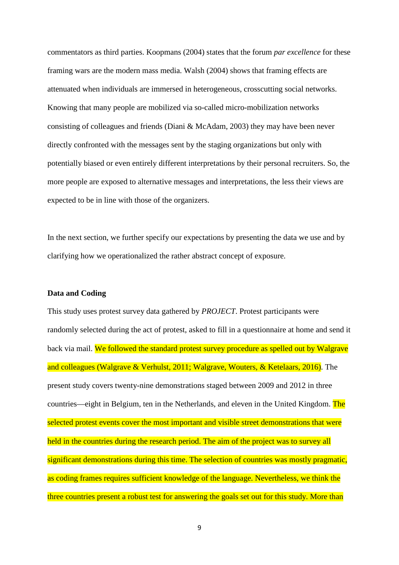commentators as third parties. Koopmans (2004) states that the forum *par excellence* for these framing wars are the modern mass media. Walsh (2004) shows that framing effects are attenuated when individuals are immersed in heterogeneous, crosscutting social networks. Knowing that many people are mobilized via so-called micro-mobilization networks consisting of colleagues and friends (Diani & McAdam, 2003) they may have been never directly confronted with the messages sent by the staging organizations but only with potentially biased or even entirely different interpretations by their personal recruiters. So, the more people are exposed to alternative messages and interpretations, the less their views are expected to be in line with those of the organizers.

In the next section, we further specify our expectations by presenting the data we use and by clarifying how we operationalized the rather abstract concept of exposure.

# **Data and Coding**

This study uses protest survey data gathered by *PROJECT*. Protest participants were randomly selected during the act of protest, asked to fill in a questionnaire at home and send it back via mail. We followed the standard protest survey procedure as spelled out by Walgrave and colleagues (Walgrave & Verhulst, 2011; Walgrave, Wouters, & Ketelaars, 2016). The present study covers twenty-nine demonstrations staged between 2009 and 2012 in three countries—eight in Belgium, ten in the Netherlands, and eleven in the United Kingdom. The selected protest events cover the most important and visible street demonstrations that were held in the countries during the research period. The aim of the project was to survey all significant demonstrations during this time. The selection of countries was mostly pragmatic, as coding frames requires sufficient knowledge of the language. Nevertheless, we think the three countries present a robust test for answering the goals set out for this study. More than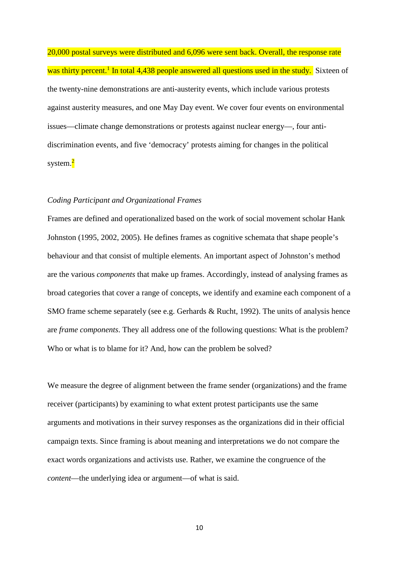20,000 postal surveys were distributed and 6,096 were sent back. Overall, the response rate was thirty percent.<sup>1</sup> In total 4,438 people answered all questions used in the study. Sixteen of the twenty-nine demonstrations are anti-austerity events, which include various protests against austerity measures, and one May Day event. We cover four events on environmental issues—climate change demonstrations or protests against nuclear energy—, four antidiscrimination events, and five 'democracy' protests aiming for changes in the political system.<mark><sup>2</sup></mark>

### *Coding Participant and Organizational Frames*

Frames are defined and operationalized based on the work of social movement scholar Hank Johnston (1995, 2002, 2005). He defines frames as cognitive schemata that shape people's behaviour and that consist of multiple elements. An important aspect of Johnston's method are the various *components* that make up frames. Accordingly, instead of analysing frames as broad categories that cover a range of concepts, we identify and examine each component of a SMO frame scheme separately (see e.g. Gerhards & Rucht, 1992). The units of analysis hence are *frame components*. They all address one of the following questions: What is the problem? Who or what is to blame for it? And, how can the problem be solved?

We measure the degree of alignment between the frame sender (organizations) and the frame receiver (participants) by examining to what extent protest participants use the same arguments and motivations in their survey responses as the organizations did in their official campaign texts. Since framing is about meaning and interpretations we do not compare the exact words organizations and activists use. Rather, we examine the congruence of the *content*—the underlying idea or argument—of what is said.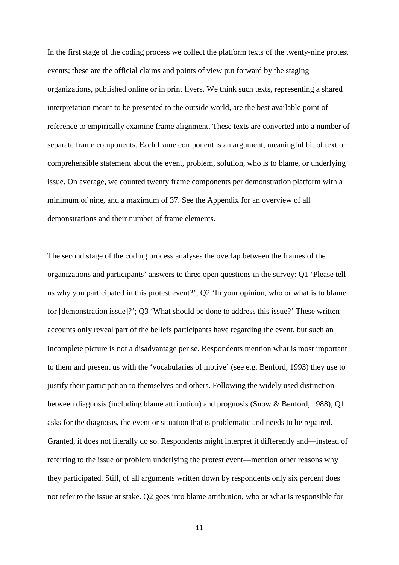In the first stage of the coding process we collect the platform texts of the twenty-nine protest events; these are the official claims and points of view put forward by the staging organizations, published online or in print flyers. We think such texts, representing a shared interpretation meant to be presented to the outside world, are the best available point of reference to empirically examine frame alignment. These texts are converted into a number of separate frame components. Each frame component is an argument, meaningful bit of text or comprehensible statement about the event, problem, solution, who is to blame, or underlying issue. On average, we counted twenty frame components per demonstration platform with a minimum of nine, and a maximum of 37. See the Appendix for an overview of all demonstrations and their number of frame elements.

The second stage of the coding process analyses the overlap between the frames of the organizations and participants' answers to three open questions in the survey: Q1 'Please tell us why you participated in this protest event?'; Q2 'In your opinion, who or what is to blame for [demonstration issue]?'; Q3 'What should be done to address this issue?' These written accounts only reveal part of the beliefs participants have regarding the event, but such an incomplete picture is not a disadvantage per se. Respondents mention what is most important to them and present us with the 'vocabularies of motive' (see e.g. Benford, 1993) they use to justify their participation to themselves and others. Following the widely used distinction between diagnosis (including blame attribution) and prognosis (Snow & Benford, 1988), Q1 asks for the diagnosis, the event or situation that is problematic and needs to be repaired. Granted, it does not literally do so. Respondents might interpret it differently and—instead of referring to the issue or problem underlying the protest event—mention other reasons why they participated. Still, of all arguments written down by respondents only six percent does not refer to the issue at stake. Q2 goes into blame attribution, who or what is responsible for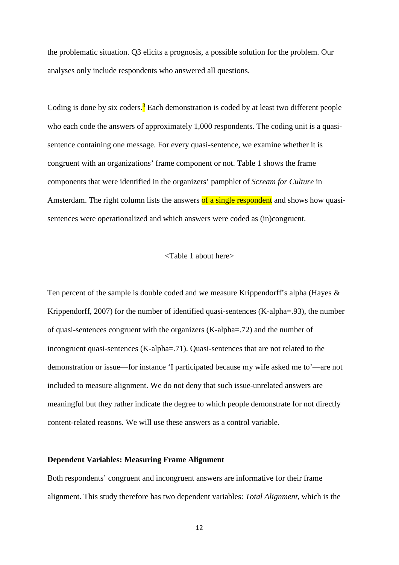the problematic situation. Q3 elicits a prognosis, a possible solution for the problem. Our analyses only include respondents who answered all questions.

Coding is done by six coders.<sup>3</sup> Each demonstration is coded by at least two different people who each code the answers of approximately 1,000 respondents. The coding unit is a quasisentence containing one message. For every quasi-sentence, we examine whether it is congruent with an organizations' frame component or not. Table 1 shows the frame components that were identified in the organizers' pamphlet of *Scream for Culture* in Amsterdam. The right column lists the answers of a single respondent and shows how quasisentences were operationalized and which answers were coded as (in)congruent.

#### <Table 1 about here>

Ten percent of the sample is double coded and we measure Krippendorff's alpha (Hayes & Krippendorff, 2007) for the number of identified quasi-sentences (K-alpha=.93), the number of quasi-sentences congruent with the organizers (K-alpha=.72) and the number of incongruent quasi-sentences (K-alpha=.71). Quasi-sentences that are not related to the demonstration or issue—for instance 'I participated because my wife asked me to'—are not included to measure alignment. We do not deny that such issue-unrelated answers are meaningful but they rather indicate the degree to which people demonstrate for not directly content-related reasons. We will use these answers as a control variable.

#### **Dependent Variables: Measuring Frame Alignment**

Both respondents' congruent and incongruent answers are informative for their frame alignment. This study therefore has two dependent variables: *Total Alignment*, which is the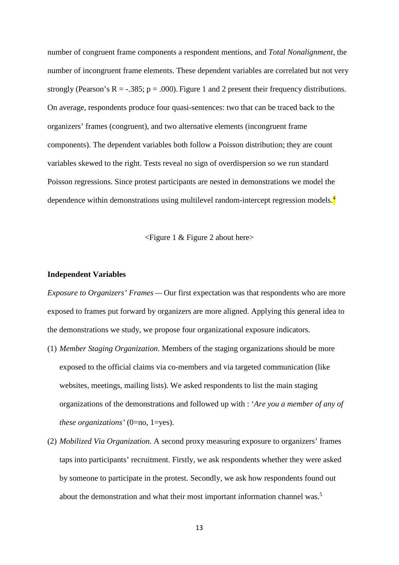number of congruent frame components a respondent mentions, and *Total Nonalignment*, the number of incongruent frame elements. These dependent variables are correlated but not very strongly (Pearson's R =  $-.385$ ; p = .000). Figure 1 and 2 present their frequency distributions. On average, respondents produce four quasi-sentences: two that can be traced back to the organizers' frames (congruent), and two alternative elements (incongruent frame components). The dependent variables both follow a Poisson distribution; they are count variables skewed to the right. Tests reveal no sign of overdispersion so we run standard Poisson regressions. Since protest participants are nested in demonstrations we model the dependence within demonstrations using multilevel random-intercept regression models.<sup>4</sup>

<Figure 1 & Figure 2 about here>

#### **Independent Variables**

*Exposure to Organizers' Frames* — Our first expectation was that respondents who are more exposed to frames put forward by organizers are more aligned. Applying this general idea to the demonstrations we study, we propose four organizational exposure indicators.

- (1) *Member Staging Organization*. Members of the staging organizations should be more exposed to the official claims via co-members and via targeted communication (like websites, meetings, mailing lists). We asked respondents to list the main staging organizations of the demonstrations and followed up with : '*Are you a member of any of these organizations'* (0=no, 1=yes).
- (2) *Mobilized Via Organization.* A second proxy measuring exposure to organizers' frames taps into participants' recruitment. Firstly, we ask respondents whether they were asked by someone to participate in the protest. Secondly, we ask how respondents found out about the demonstration and what their most important information channel was.<sup>5</sup>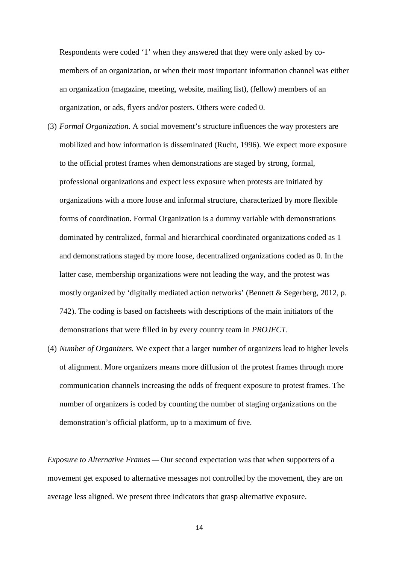Respondents were coded '1' when they answered that they were only asked by comembers of an organization, or when their most important information channel was either an organization (magazine, meeting, website, mailing list), (fellow) members of an organization, or ads, flyers and/or posters. Others were coded 0.

- (3) *Formal Organization.* A social movement's structure influences the way protesters are mobilized and how information is disseminated (Rucht, 1996). We expect more exposure to the official protest frames when demonstrations are staged by strong, formal, professional organizations and expect less exposure when protests are initiated by organizations with a more loose and informal structure, characterized by more flexible forms of coordination. Formal Organization is a dummy variable with demonstrations dominated by centralized, formal and hierarchical coordinated organizations coded as 1 and demonstrations staged by more loose, decentralized organizations coded as 0. In the latter case, membership organizations were not leading the way, and the protest was mostly organized by 'digitally mediated action networks' (Bennett & Segerberg, 2012, p. 742). The coding is based on factsheets with descriptions of the main initiators of the demonstrations that were filled in by every country team in *PROJECT*.
- (4) *Number of Organizers.* We expect that a larger number of organizers lead to higher levels of alignment. More organizers means more diffusion of the protest frames through more communication channels increasing the odds of frequent exposure to protest frames. The number of organizers is coded by counting the number of staging organizations on the demonstration's official platform, up to a maximum of five.

*Exposure to Alternative Frames* — Our second expectation was that when supporters of a movement get exposed to alternative messages not controlled by the movement, they are on average less aligned. We present three indicators that grasp alternative exposure.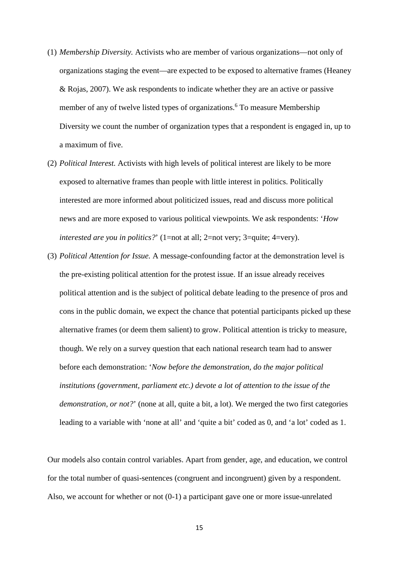- (1) *Membership Diversity.* Activists who are member of various organizations—not only of organizations staging the event—are expected to be exposed to alternative frames (Heaney & Rojas, 2007). We ask respondents to indicate whether they are an active or passive member of any of twelve listed types of organizations. <sup>6</sup> To measure Membership Diversity we count the number of organization types that a respondent is engaged in, up to a maximum of five.
- (2) *Political Interest.* Activists with high levels of political interest are likely to be more exposed to alternative frames than people with little interest in politics. Politically interested are more informed about politicized issues, read and discuss more political news and are more exposed to various political viewpoints. We ask respondents: '*How interested are you in politics?*' (1=not at all; 2=not very; 3=quite; 4=very).
- (3) *Political Attention for Issue.* A message-confounding factor at the demonstration level is the pre-existing political attention for the protest issue. If an issue already receives political attention and is the subject of political debate leading to the presence of pros and cons in the public domain, we expect the chance that potential participants picked up these alternative frames (or deem them salient) to grow. Political attention is tricky to measure, though. We rely on a survey question that each national research team had to answer before each demonstration: '*Now before the demonstration, do the major political institutions (government, parliament etc.) devote a lot of attention to the issue of the demonstration, or not?*' (none at all, quite a bit, a lot). We merged the two first categories leading to a variable with 'none at all' and 'quite a bit' coded as 0, and 'a lot' coded as 1.

Our models also contain control variables. Apart from gender, age, and education, we control for the total number of quasi-sentences (congruent and incongruent) given by a respondent. Also, we account for whether or not (0-1) a participant gave one or more issue-unrelated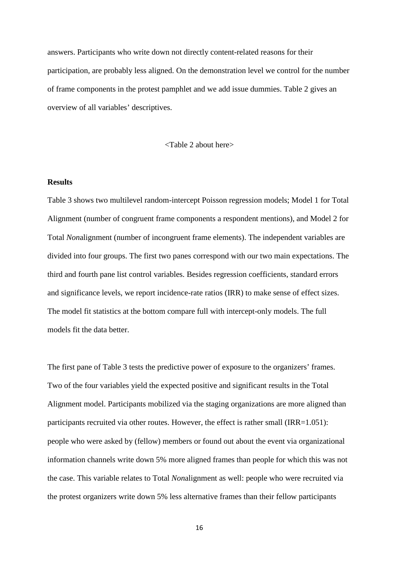answers. Participants who write down not directly content-related reasons for their participation, are probably less aligned. On the demonstration level we control for the number of frame components in the protest pamphlet and we add issue dummies. Table 2 gives an overview of all variables' descriptives.

<Table 2 about here>

## **Results**

Table 3 shows two multilevel random-intercept Poisson regression models; Model 1 for Total Alignment (number of congruent frame components a respondent mentions), and Model 2 for Total *Non*alignment (number of incongruent frame elements). The independent variables are divided into four groups. The first two panes correspond with our two main expectations. The third and fourth pane list control variables. Besides regression coefficients, standard errors and significance levels, we report incidence-rate ratios (IRR) to make sense of effect sizes. The model fit statistics at the bottom compare full with intercept-only models. The full models fit the data better.

The first pane of Table 3 tests the predictive power of exposure to the organizers' frames. Two of the four variables yield the expected positive and significant results in the Total Alignment model. Participants mobilized via the staging organizations are more aligned than participants recruited via other routes. However, the effect is rather small (IRR=1.051): people who were asked by (fellow) members or found out about the event via organizational information channels write down 5% more aligned frames than people for which this was not the case. This variable relates to Total *Non*alignment as well: people who were recruited via the protest organizers write down 5% less alternative frames than their fellow participants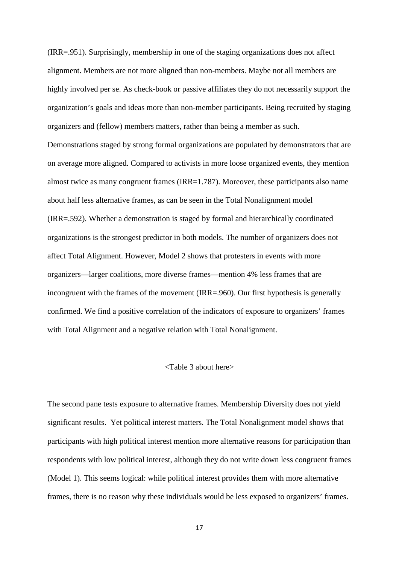(IRR=.951). Surprisingly, membership in one of the staging organizations does not affect alignment. Members are not more aligned than non-members. Maybe not all members are highly involved per se. As check-book or passive affiliates they do not necessarily support the organization's goals and ideas more than non-member participants. Being recruited by staging organizers and (fellow) members matters, rather than being a member as such.

Demonstrations staged by strong formal organizations are populated by demonstrators that are on average more aligned. Compared to activists in more loose organized events, they mention almost twice as many congruent frames (IRR=1.787). Moreover, these participants also name about half less alternative frames, as can be seen in the Total Nonalignment model (IRR=.592). Whether a demonstration is staged by formal and hierarchically coordinated organizations is the strongest predictor in both models. The number of organizers does not affect Total Alignment. However, Model 2 shows that protesters in events with more organizers—larger coalitions, more diverse frames—mention 4% less frames that are incongruent with the frames of the movement (IRR=.960). Our first hypothesis is generally confirmed. We find a positive correlation of the indicators of exposure to organizers' frames with Total Alignment and a negative relation with Total Nonalignment.

### <Table 3 about here>

The second pane tests exposure to alternative frames. Membership Diversity does not yield significant results. Yet political interest matters. The Total Nonalignment model shows that participants with high political interest mention more alternative reasons for participation than respondents with low political interest, although they do not write down less congruent frames (Model 1). This seems logical: while political interest provides them with more alternative frames, there is no reason why these individuals would be less exposed to organizers' frames.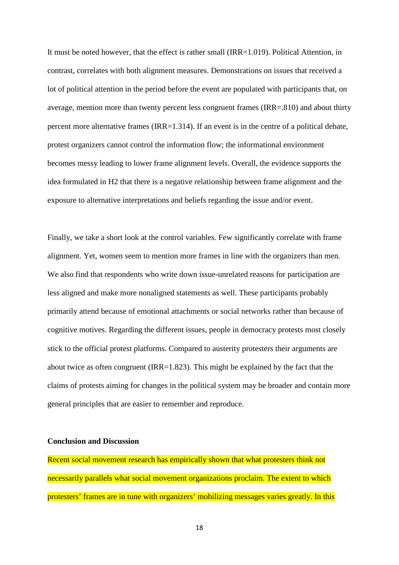It must be noted however, that the effect is rather small (IRR=1.019). Political Attention, in contrast, correlates with both alignment measures. Demonstrations on issues that received a lot of political attention in the period before the event are populated with participants that, on average, mention more than twenty percent less congruent frames (IRR=.810) and about thirty percent more alternative frames (IRR=1.314). If an event is in the centre of a political debate, protest organizers cannot control the information flow; the informational environment becomes messy leading to lower frame alignment levels. Overall, the evidence supports the idea formulated in H2 that there is a negative relationship between frame alignment and the exposure to alternative interpretations and beliefs regarding the issue and/or event.

Finally, we take a short look at the control variables. Few significantly correlate with frame alignment. Yet, women seem to mention more frames in line with the organizers than men. We also find that respondents who write down issue-unrelated reasons for participation are less aligned and make more nonaligned statements as well. These participants probably primarily attend because of emotional attachments or social networks rather than because of cognitive motives. Regarding the different issues, people in democracy protests most closely stick to the official protest platforms. Compared to austerity protesters their arguments are about twice as often congruent (IRR=1.823). This might be explained by the fact that the claims of protests aiming for changes in the political system may be broader and contain more general principles that are easier to remember and reproduce.

#### **Conclusion and Discussion**

Recent social movement research has empirically shown that what protesters think not necessarily parallels what social movement organizations proclaim. The extent to which protesters' frames are in tune with organizers' mobilizing messages varies greatly. In this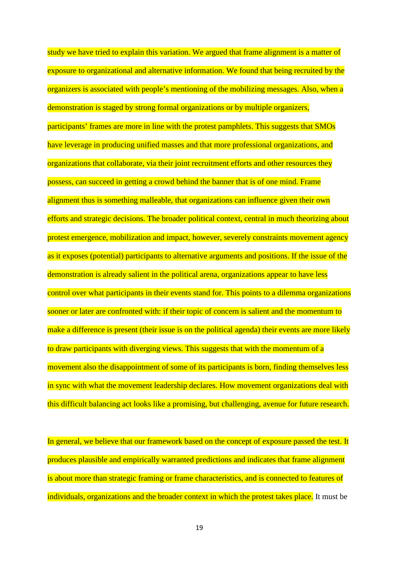study we have tried to explain this variation. We argued that frame alignment is a matter of exposure to organizational and alternative information. We found that being recruited by the organizers is associated with people's mentioning of the mobilizing messages. Also, when a demonstration is staged by strong formal organizations or by multiple organizers, participants' frames are more in line with the protest pamphlets. This suggests that SMOs have leverage in producing unified masses and that more professional organizations, and organizations that collaborate, via their joint recruitment efforts and other resources they possess, can succeed in getting a crowd behind the banner that is of one mind. Frame alignment thus is something malleable, that organizations can influence given their own efforts and strategic decisions. The broader political context, central in much theorizing about protest emergence, mobilization and impact, however, severely constraints movement agency as it exposes (potential) participants to alternative arguments and positions. If the issue of the demonstration is already salient in the political arena, organizations appear to have less control over what participants in their events stand for. This points to a dilemma organizations sooner or later are confronted with: if their topic of concern is salient and the momentum to make a difference is present (their issue is on the political agenda) their events are more likely to draw participants with diverging views. This suggests that with the momentum of a movement also the disappointment of some of its participants is born, finding themselves less in sync with what the movement leadership declares. How movement organizations deal with this difficult balancing act looks like a promising, but challenging, avenue for future research.

In general, we believe that our framework based on the concept of exposure passed the test. It produces plausible and empirically warranted predictions and indicates that frame alignment is about more than strategic framing or frame characteristics, and is connected to features of individuals, organizations and the broader context in which the protest takes place. It must be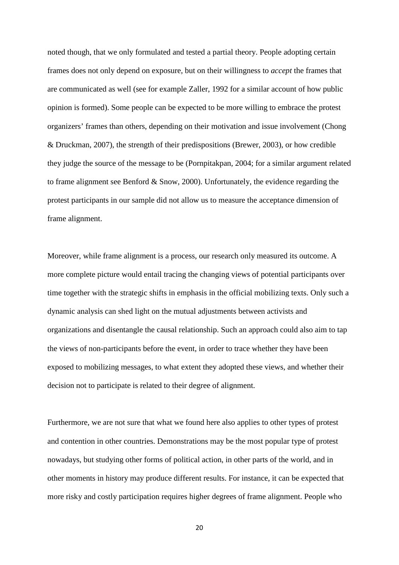noted though, that we only formulated and tested a partial theory. People adopting certain frames does not only depend on exposure, but on their willingness to *accept* the frames that are communicated as well (see for example Zaller, 1992 for a similar account of how public opinion is formed). Some people can be expected to be more willing to embrace the protest organizers' frames than others, depending on their motivation and issue involvement (Chong & Druckman, 2007), the strength of their predispositions (Brewer, 2003), or how credible they judge the source of the message to be (Pornpitakpan, 2004; for a similar argument related to frame alignment see Benford & Snow, 2000). Unfortunately, the evidence regarding the protest participants in our sample did not allow us to measure the acceptance dimension of frame alignment.

Moreover, while frame alignment is a process, our research only measured its outcome. A more complete picture would entail tracing the changing views of potential participants over time together with the strategic shifts in emphasis in the official mobilizing texts. Only such a dynamic analysis can shed light on the mutual adjustments between activists and organizations and disentangle the causal relationship. Such an approach could also aim to tap the views of non-participants before the event, in order to trace whether they have been exposed to mobilizing messages, to what extent they adopted these views, and whether their decision not to participate is related to their degree of alignment.

Furthermore, we are not sure that what we found here also applies to other types of protest and contention in other countries. Demonstrations may be the most popular type of protest nowadays, but studying other forms of political action, in other parts of the world, and in other moments in history may produce different results. For instance, it can be expected that more risky and costly participation requires higher degrees of frame alignment. People who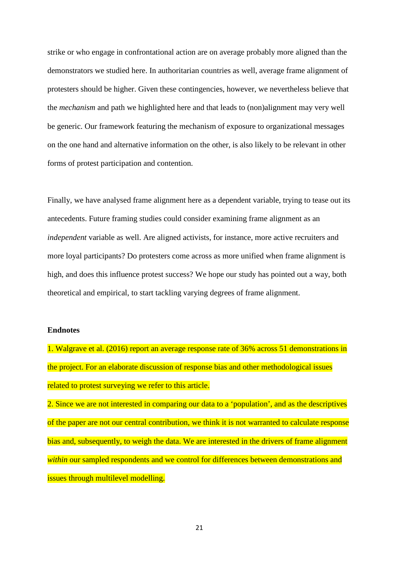strike or who engage in confrontational action are on average probably more aligned than the demonstrators we studied here. In authoritarian countries as well, average frame alignment of protesters should be higher. Given these contingencies, however, we nevertheless believe that the *mechanism* and path we highlighted here and that leads to (non)alignment may very well be generic. Our framework featuring the mechanism of exposure to organizational messages on the one hand and alternative information on the other, is also likely to be relevant in other forms of protest participation and contention.

Finally, we have analysed frame alignment here as a dependent variable, trying to tease out its antecedents. Future framing studies could consider examining frame alignment as an *independent* variable as well. Are aligned activists, for instance, more active recruiters and more loyal participants? Do protesters come across as more unified when frame alignment is high, and does this influence protest success? We hope our study has pointed out a way, both theoretical and empirical, to start tackling varying degrees of frame alignment.

#### **Endnotes**

1. Walgrave et al. (2016) report an average response rate of 36% across 51 demonstrations in the project. For an elaborate discussion of response bias and other methodological issues related to protest surveying we refer to this article.

2. Since we are not interested in comparing our data to a 'population', and as the descriptives of the paper are not our central contribution, we think it is not warranted to calculate response bias and, subsequently, to weigh the data. We are interested in the drivers of frame alignment *within* our sampled respondents and we control for differences between demonstrations and issues through multilevel modelling.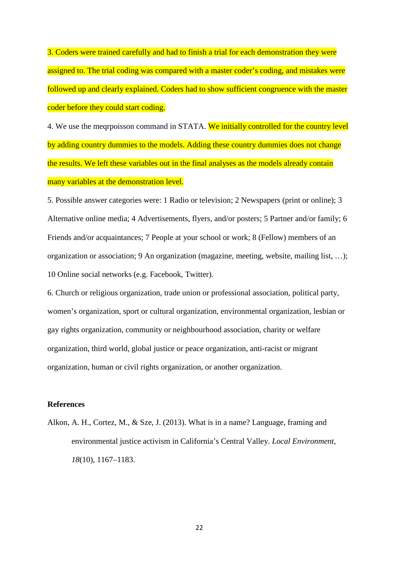3. Coders were trained carefully and had to finish a trial for each demonstration they were assigned to. The trial coding was compared with a master coder's coding, and mistakes were followed up and clearly explained. Coders had to show sufficient congruence with the master coder before they could start coding.

4. We use the megropisson command in STATA. We initially controlled for the country level by adding country dummies to the models. Adding these country dummies does not change the results. We left these variables out in the final analyses as the models already contain many variables at the demonstration level.

5. Possible answer categories were: 1 Radio or television; 2 Newspapers (print or online); 3 Alternative online media; 4 Advertisements, flyers, and/or posters; 5 Partner and/or family; 6 Friends and/or acquaintances; 7 People at your school or work; 8 (Fellow) members of an organization or association; 9 An organization (magazine, meeting, website, mailing list, …); 10 Online social networks (e.g. Facebook, Twitter).

6. Church or religious organization, trade union or professional association, political party, women's organization, sport or cultural organization, environmental organization, lesbian or gay rights organization, community or neighbourhood association, charity or welfare organization, third world, global justice or peace organization, anti-racist or migrant organization, human or civil rights organization, or another organization.

# **References**

Alkon, A. H., Cortez, M., & Sze, J. (2013). What is in a name? Language, framing and environmental justice activism in California's Central Valley. *Local Environment*, *18*(10), 1167–1183.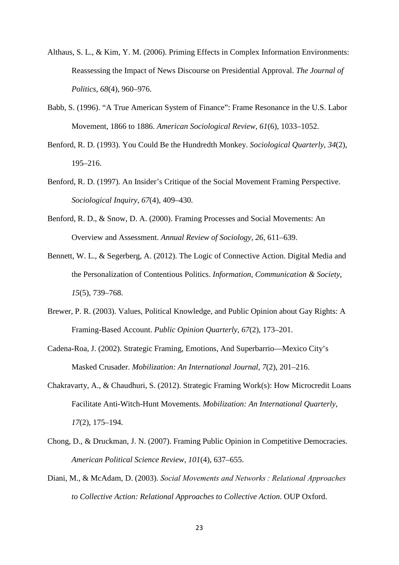- Althaus, S. L., & Kim, Y. M. (2006). Priming Effects in Complex Information Environments: Reassessing the Impact of News Discourse on Presidential Approval. *The Journal of Politics*, *68*(4), 960–976.
- Babb, S. (1996). "A True American System of Finance": Frame Resonance in the U.S. Labor Movement, 1866 to 1886. *American Sociological Review*, *61*(6), 1033–1052.
- Benford, R. D. (1993). You Could Be the Hundredth Monkey. *Sociological Quarterly*, *34*(2), 195–216.
- Benford, R. D. (1997). An Insider's Critique of the Social Movement Framing Perspective. *Sociological Inquiry*, *67*(4), 409–430.
- Benford, R. D., & Snow, D. A. (2000). Framing Processes and Social Movements: An Overview and Assessment. *Annual Review of Sociology*, *26*, 611–639.
- Bennett, W. L., & Segerberg, A. (2012). The Logic of Connective Action. Digital Media and the Personalization of Contentious Politics. *Information, Communication & Society*, *15*(5), 739–768.
- Brewer, P. R. (2003). Values, Political Knowledge, and Public Opinion about Gay Rights: A Framing-Based Account. *Public Opinion Quarterly*, *67*(2), 173–201.
- Cadena-Roa, J. (2002). Strategic Framing, Emotions, And Superbarrio—Mexico City's Masked Crusader. *Mobilization: An International Journal*, *7*(2), 201–216.
- Chakravarty, A., & Chaudhuri, S. (2012). Strategic Framing Work(s): How Microcredit Loans Facilitate Anti-Witch-Hunt Movements. *Mobilization: An International Quarterly*, *17*(2), 175–194.
- Chong, D., & Druckman, J. N. (2007). Framing Public Opinion in Competitive Democracies. *American Political Science Review*, *101*(4), 637–655.
- Diani, M., & McAdam, D. (2003). *Social Movements and Networks : Relational Approaches to Collective Action: Relational Approaches to Collective Action*. OUP Oxford.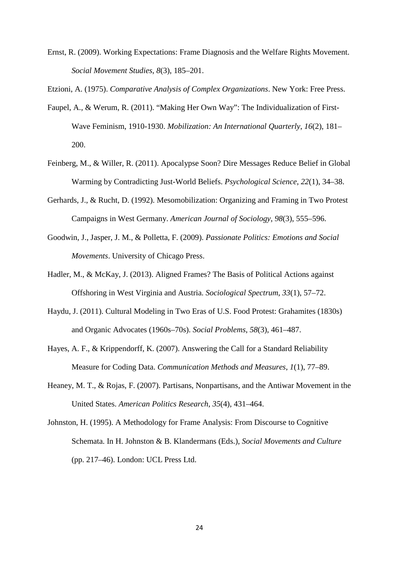Ernst, R. (2009). Working Expectations: Frame Diagnosis and the Welfare Rights Movement. *Social Movement Studies*, *8*(3), 185–201.

Etzioni, A. (1975). *Comparative Analysis of Complex Organizations*. New York: Free Press.

- Faupel, A., & Werum, R. (2011). "Making Her Own Way": The Individualization of First-Wave Feminism, 1910-1930. *Mobilization: An International Quarterly*, *16*(2), 181– 200.
- Feinberg, M., & Willer, R. (2011). Apocalypse Soon? Dire Messages Reduce Belief in Global Warming by Contradicting Just-World Beliefs. *Psychological Science*, *22*(1), 34–38.
- Gerhards, J., & Rucht, D. (1992). Mesomobilization: Organizing and Framing in Two Protest Campaigns in West Germany. *American Journal of Sociology*, *98*(3), 555–596.
- Goodwin, J., Jasper, J. M., & Polletta, F. (2009). *Passionate Politics: Emotions and Social Movements*. University of Chicago Press.
- Hadler, M., & McKay, J. (2013). Aligned Frames? The Basis of Political Actions against Offshoring in West Virginia and Austria. *Sociological Spectrum*, *33*(1), 57–72.
- Haydu, J. (2011). Cultural Modeling in Two Eras of U.S. Food Protest: Grahamites (1830s) and Organic Advocates (1960s–70s). *Social Problems*, *58*(3), 461–487.
- Hayes, A. F., & Krippendorff, K. (2007). Answering the Call for a Standard Reliability Measure for Coding Data. *Communication Methods and Measures*, *1*(1), 77–89.
- Heaney, M. T., & Rojas, F. (2007). Partisans, Nonpartisans, and the Antiwar Movement in the United States. *American Politics Research*, *35*(4), 431–464.
- Johnston, H. (1995). A Methodology for Frame Analysis: From Discourse to Cognitive Schemata. In H. Johnston & B. Klandermans (Eds.), *Social Movements and Culture* (pp. 217–46). London: UCL Press Ltd.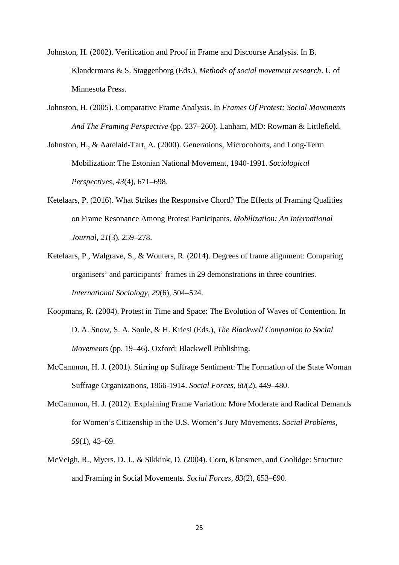- Johnston, H. (2002). Verification and Proof in Frame and Discourse Analysis. In B. Klandermans & S. Staggenborg (Eds.), *Methods of social movement research*. U of Minnesota Press.
- Johnston, H. (2005). Comparative Frame Analysis. In *Frames Of Protest: Social Movements And The Framing Perspective* (pp. 237–260). Lanham, MD: Rowman & Littlefield.
- Johnston, H., & Aarelaid-Tart, A. (2000). Generations, Microcohorts, and Long-Term Mobilization: The Estonian National Movement, 1940-1991. *Sociological Perspectives*, *43*(4), 671–698.
- Ketelaars, P. (2016). What Strikes the Responsive Chord? The Effects of Framing Qualities on Frame Resonance Among Protest Participants. *Mobilization: An International Journal*, *21*(3), 259–278.
- Ketelaars, P., Walgrave, S., & Wouters, R. (2014). Degrees of frame alignment: Comparing organisers' and participants' frames in 29 demonstrations in three countries. *International Sociology*, *29*(6), 504–524.
- Koopmans, R. (2004). Protest in Time and Space: The Evolution of Waves of Contention. In D. A. Snow, S. A. Soule, & H. Kriesi (Eds.), *The Blackwell Companion to Social Movements* (pp. 19–46). Oxford: Blackwell Publishing.
- McCammon, H. J. (2001). Stirring up Suffrage Sentiment: The Formation of the State Woman Suffrage Organizations, 1866-1914. *Social Forces*, *80*(2), 449–480.
- McCammon, H. J. (2012). Explaining Frame Variation: More Moderate and Radical Demands for Women's Citizenship in the U.S. Women's Jury Movements. *Social Problems*, *59*(1), 43–69.
- McVeigh, R., Myers, D. J., & Sikkink, D. (2004). Corn, Klansmen, and Coolidge: Structure and Framing in Social Movements. *Social Forces*, *83*(2), 653–690.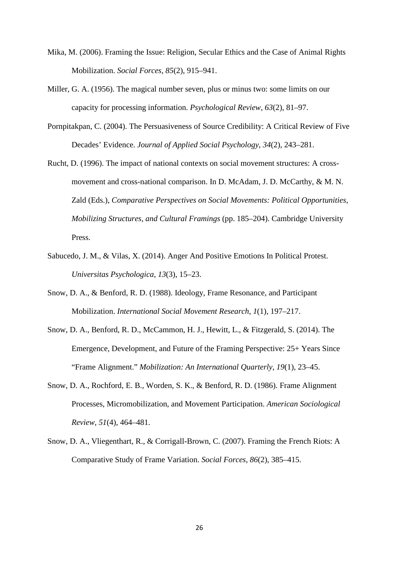- Mika, M. (2006). Framing the Issue: Religion, Secular Ethics and the Case of Animal Rights Mobilization. *Social Forces*, *85*(2), 915–941.
- Miller, G. A. (1956). The magical number seven, plus or minus two: some limits on our capacity for processing information. *Psychological Review*, *63*(2), 81–97.
- Pornpitakpan, C. (2004). The Persuasiveness of Source Credibility: A Critical Review of Five Decades' Evidence. *Journal of Applied Social Psychology*, *34*(2), 243–281.
- Rucht, D. (1996). The impact of national contexts on social movement structures: A crossmovement and cross-national comparison. In D. McAdam, J. D. McCarthy, & M. N. Zald (Eds.), *Comparative Perspectives on Social Movements: Political Opportunities, Mobilizing Structures, and Cultural Framings* (pp. 185–204). Cambridge University Press.
- Sabucedo, J. M., & Vilas, X. (2014). Anger And Positive Emotions In Political Protest. *Universitas Psychologica*, *13*(3), 15–23.
- Snow, D. A., & Benford, R. D. (1988). Ideology, Frame Resonance, and Participant Mobilization. *International Social Movement Research*, *1*(1), 197–217.
- Snow, D. A., Benford, R. D., McCammon, H. J., Hewitt, L., & Fitzgerald, S. (2014). The Emergence, Development, and Future of the Framing Perspective: 25+ Years Since "Frame Alignment." *Mobilization: An International Quarterly*, *19*(1), 23–45.
- Snow, D. A., Rochford, E. B., Worden, S. K., & Benford, R. D. (1986). Frame Alignment Processes, Micromobilization, and Movement Participation. *American Sociological Review*, *51*(4), 464–481.
- Snow, D. A., Vliegenthart, R., & Corrigall-Brown, C. (2007). Framing the French Riots: A Comparative Study of Frame Variation. *Social Forces*, *86*(2), 385–415.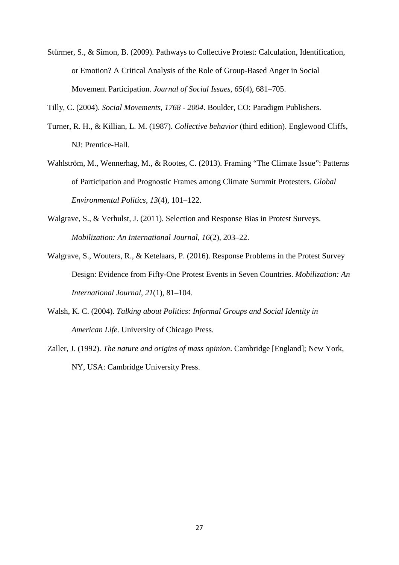Stürmer, S., & Simon, B. (2009). Pathways to Collective Protest: Calculation, Identification, or Emotion? A Critical Analysis of the Role of Group-Based Anger in Social Movement Participation. *Journal of Social Issues*, *65*(4), 681–705.

Tilly, C. (2004). *Social Movements, 1768 - 2004*. Boulder, CO: Paradigm Publishers.

- Turner, R. H., & Killian, L. M. (1987). *Collective behavior* (third edition). Englewood Cliffs, NJ: Prentice-Hall.
- Wahlström, M., Wennerhag, M., & Rootes, C. (2013). Framing "The Climate Issue": Patterns of Participation and Prognostic Frames among Climate Summit Protesters. *Global Environmental Politics*, *13*(4), 101–122.
- Walgrave, S., & Verhulst, J. (2011). Selection and Response Bias in Protest Surveys. *Mobilization: An International Journal*, *16*(2), 203–22.
- Walgrave, S., Wouters, R., & Ketelaars, P. (2016). Response Problems in the Protest Survey Design: Evidence from Fifty-One Protest Events in Seven Countries. *Mobilization: An International Journal*, *21*(1), 81–104.
- Walsh, K. C. (2004). *Talking about Politics: Informal Groups and Social Identity in American Life*. University of Chicago Press.
- Zaller, J. (1992). *The nature and origins of mass opinion*. Cambridge [England]; New York, NY, USA: Cambridge University Press.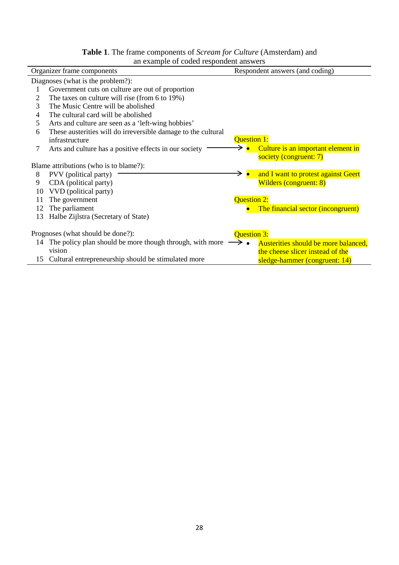| <b>Table 1.</b> The frame components of <i>Scream for Culture</i> (Amsterdam) and |
|-----------------------------------------------------------------------------------|
| an example of coded respondent answers                                            |

| all example of coded respondent answers |                                                                                    |                                                              |  |  |  |  |
|-----------------------------------------|------------------------------------------------------------------------------------|--------------------------------------------------------------|--|--|--|--|
| Organizer frame components              |                                                                                    | Respondent answers (and coding)                              |  |  |  |  |
|                                         | Diagnoses (what is the problem?):                                                  |                                                              |  |  |  |  |
|                                         | Government cuts on culture are out of proportion                                   |                                                              |  |  |  |  |
| 2                                       | The taxes on culture will rise (from 6 to 19%)                                     |                                                              |  |  |  |  |
| 3                                       | The Music Centre will be abolished                                                 |                                                              |  |  |  |  |
| 4                                       | The cultural card will be abolished                                                |                                                              |  |  |  |  |
| 5                                       | Arts and culture are seen as a 'left-wing hobbies'                                 |                                                              |  |  |  |  |
| 6                                       | These austerities will do irreversible damage to the cultural                      |                                                              |  |  |  |  |
|                                         | infrastructure                                                                     | <b>Question 1:</b>                                           |  |  |  |  |
| 7                                       | Arts and culture has a positive effects in our society                             | Culture is an important element in<br>society (congruent: 7) |  |  |  |  |
|                                         | Blame attributions (who is to blame?):                                             |                                                              |  |  |  |  |
| 8                                       | PVV (political party)                                                              | and I want to protest against Geert                          |  |  |  |  |
| 9                                       | CDA (political party)                                                              | <b>Wilders (congruent: 8)</b>                                |  |  |  |  |
| 10                                      | VVD (political party)                                                              |                                                              |  |  |  |  |
| 11                                      | The government                                                                     | Question 2:                                                  |  |  |  |  |
| 12                                      | The parliament                                                                     | The financial sector (incongruent)                           |  |  |  |  |
| 13                                      | Halbe Zijlstra (Secretary of State)                                                |                                                              |  |  |  |  |
|                                         | Prognoses (what should be done?):<br><b>Question 3:</b>                            |                                                              |  |  |  |  |
| 14                                      | The policy plan should be more though through, with more $\longrightarrow \bullet$ | Austerities should be more balanced,                         |  |  |  |  |
|                                         | vision                                                                             | the cheese slicer instead of the                             |  |  |  |  |
| 15                                      | Cultural entrepreneurship should be stimulated more                                |                                                              |  |  |  |  |
|                                         |                                                                                    | sledge-hammer (congruent: 14)                                |  |  |  |  |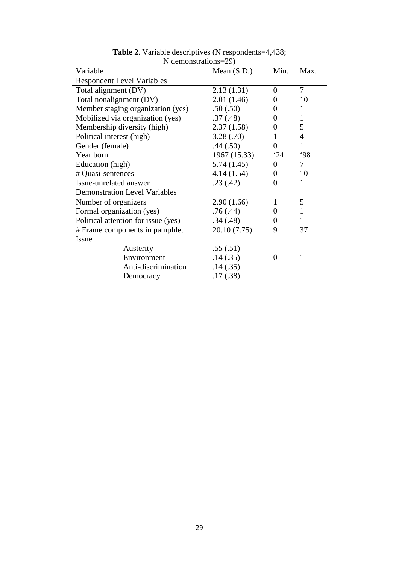| Variable                             | Mean $(S.D.)$ | Min.           | Max. |  |  |  |
|--------------------------------------|---------------|----------------|------|--|--|--|
| <b>Respondent Level Variables</b>    |               |                |      |  |  |  |
| Total alignment (DV)                 | 2.13(1.31)    | $\Omega$       | 7    |  |  |  |
| Total nonalignment (DV)              | 2.01(1.46)    | $\theta$       | 10   |  |  |  |
| Member staging organization (yes)    | .50(.50)      | 0              | 1    |  |  |  |
| Mobilized via organization (yes)     | .37(.48)      | 0              | 1    |  |  |  |
| Membership diversity (high)          | 2.37(1.58)    | 0              | 5    |  |  |  |
| Political interest (high)            | 3.28(.70)     | 1              | 4    |  |  |  |
| Gender (female)                      | .44(.50)      | $\theta$       | 1    |  |  |  |
| Year born                            | 1967 (15.33)  | 24             | 98   |  |  |  |
| Education (high)                     | 5.74(1.45)    | $\Omega$       | 7    |  |  |  |
| # Quasi-sentences                    | 4.14(1.54)    | $\theta$       | 10   |  |  |  |
| Issue-unrelated answer               | .23(.42)      | $\overline{0}$ | 1    |  |  |  |
| <b>Demonstration Level Variables</b> |               |                |      |  |  |  |
| Number of organizers                 | 2.90(1.66)    | 1              | 5    |  |  |  |
| Formal organization (yes)            | .76(.44)      | 0              | 1    |  |  |  |
| Political attention for issue (yes)  | .34(.48)      | $\overline{0}$ | 1    |  |  |  |
| # Frame components in pamphlet       | 20.10 (7.75)  | 9              | 37   |  |  |  |
| <b>Issue</b>                         |               |                |      |  |  |  |
| Austerity                            | .55(.51)      |                |      |  |  |  |
| Environment                          | .14(.35)      | $\theta$       | 1    |  |  |  |
| Anti-discrimination                  | .14(0.35)     |                |      |  |  |  |
| Democracy                            | .17(.38)      |                |      |  |  |  |

**Table 2**. Variable descriptives (N respondents=4,438; N demonstrations=29)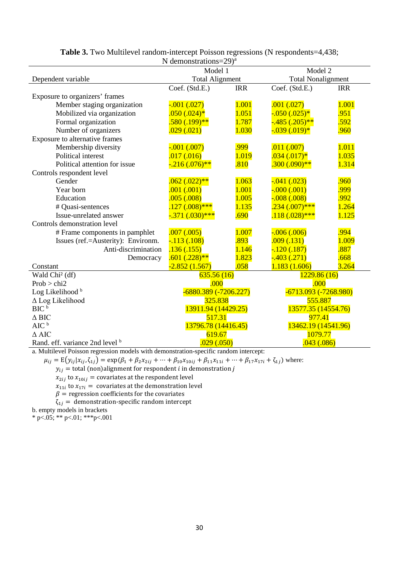| N demonstrations= $29)^a$                                                                                            |                        |            |                           |            |  |
|----------------------------------------------------------------------------------------------------------------------|------------------------|------------|---------------------------|------------|--|
|                                                                                                                      | Model 1                |            | Model 2                   |            |  |
| Dependent variable                                                                                                   | <b>Total Alignment</b> |            | <b>Total Nonalignment</b> |            |  |
|                                                                                                                      | Coef. (Std.E.)         | <b>IRR</b> | Coef. (Std.E.)            | <b>IRR</b> |  |
| Exposure to organizers' frames                                                                                       |                        |            |                           |            |  |
| Member staging organization                                                                                          | $-0.001$ $(0.027)$     | 1.001      | .001(.027)                | 1.001      |  |
| Mobilized via organization                                                                                           | $.050(.024)*$          | 1.051      | $-0.050(0.025)*$          | .951       |  |
| Formal organization                                                                                                  | $.580(.199)$ **        | 1.787      | $-0.485$ $(.205)$ **      | .592       |  |
| Number of organizers                                                                                                 | .029(.021)             | 1.030      | $-0.039$ $(0.019)*$       | .960       |  |
| Exposure to alternative frames                                                                                       |                        |            |                           |            |  |
| Membership diversity                                                                                                 | $-0.001$ $(0.007)$     | .999       | .011(.007)                | 1.011      |  |
| Political interest                                                                                                   | .017(.016)             | 1.019      | $.034(.017)*$             | 1.035      |  |
| Political attention for issue                                                                                        | $-216(.076)$ **        | .810       | $.300(.090)$ **           | 1.314      |  |
| Controls respondent level                                                                                            |                        |            |                           |            |  |
| Gender                                                                                                               | $.062(.022)**$         | 1.063      | $-0.041(0.023)$           | .960       |  |
| Year born                                                                                                            | .001(.001)             | 1.001      | $-000(.001)$              | .999       |  |
| Education                                                                                                            | .005(.008)             | 1.005      | $-0.008$ $(0.008)$        | .992       |  |
| # Quasi-sentences                                                                                                    | $.127(.008)$ ***       | 1.135      | $.234(.007)$ ***          | 1.264      |  |
| Issue-unrelated answer                                                                                               | $-.371(.030)$ ***      | .690       | $.118(.028)$ ***          | 1.125      |  |
| Controls demonstration level                                                                                         |                        |            |                           |            |  |
| # Frame components in pamphlet                                                                                       | .007(.005)             | 1.007      | $-0.006$ $(0.006)$        | .994       |  |
| Issues (ref.=Austerity): Environm.                                                                                   | $-113(0.108)$          | .893       | .009(.131)                | 1.009      |  |
| Anti-discrimination                                                                                                  | .136(.155)             | 1.146      | $-120(.187)$              | .887       |  |
| Democracy                                                                                                            | $.601(.228)**$         | 1.823      | $-403(.271)$              | .668       |  |
| Constant                                                                                                             | $-2.852(1.567)$        | .058       | 1.183(1.606)              | 3.264      |  |
| Wald Chi <sup>2</sup> (df)                                                                                           | 635.56(16)             |            | 1229.86(16)               |            |  |
| Prob > chi2                                                                                                          | .000                   |            | .000                      |            |  |
| Log Likelihood <sup>b</sup>                                                                                          | -6880.389 (-7206.227)  |            | $-6713.093(-7268.980)$    |            |  |
| ∆ Log Likelihood                                                                                                     | 325.838                |            | 555.887                   |            |  |
| BIC <sup>b</sup>                                                                                                     | 13911.94 (14429.25)    |            | 13577.35 (14554.76)       |            |  |
| $\Delta$ BIC                                                                                                         | 517.31                 |            | 977.41                    |            |  |
| AIC <sup>b</sup>                                                                                                     | 13796.78 (14416.45)    |            | 13462.19 (14541.96)       |            |  |
| $\triangle$ AIC                                                                                                      | 619.67                 |            | 1079.77                   |            |  |
| Rand. eff. variance 2nd level b<br>Multilayal Daisson requestion models with demonstration apositio rendom interest. | .029(.050)             |            | .043(.086)                |            |  |

# **Table 3.** Two Multilevel random-intercept Poisson regressions (N respondents=4,438;

a. Multilevel Poisson regression models with demonstration-specific random intercept:

 $\mu_{ij} = E(y_{ij} | x_{ij}, \zeta_{1j}) = \exp(\beta_1 + \beta_2 x_{2ij} + \cdots + \beta_{10} x_{10ij} + \beta_{11} x_{11i} + \cdots + \beta_{17} x_{17i} + \zeta_{1j})$  where:

 $y_{ij} =$  total (non)alignment for respondent  $\iota$  in demonstration  $\jmath$ 

 $x_{2ij}$  to  $x_{10ij}$  = covariates at the respondent level

 $x_{11i}$  to  $x_{17i}$  = covariates at the demonstration level

 $\beta$  = regression coefficients for the covariates

 $\zeta_{1i}$  = demonstration-specific random intercept

b. empty models in brackets

\* p<.05; \*\* p<.01; \*\*\* p<.001